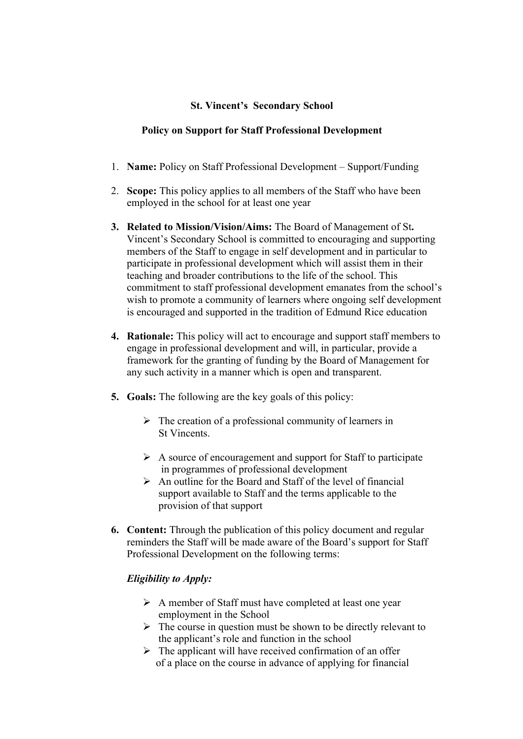# **St. Vincent's Secondary School**

## **Policy on Support for Staff Professional Development**

- 1. **Name:** Policy on Staff Professional Development Support/Funding
- 2. **Scope:** This policy applies to all members of the Staff who have been employed in the school for at least one year
- **3. Related to Mission/Vision/Aims:** The Board of Management of St**.**  Vincent's Secondary School is committed to encouraging and supporting members of the Staff to engage in self development and in particular to participate in professional development which will assist them in their teaching and broader contributions to the life of the school. This commitment to staff professional development emanates from the school's wish to promote a community of learners where ongoing self development is encouraged and supported in the tradition of Edmund Rice education
- **4. Rationale:** This policy will act to encourage and support staff members to engage in professional development and will, in particular, provide a framework for the granting of funding by the Board of Management for any such activity in a manner which is open and transparent.
- **5. Goals:** The following are the key goals of this policy:
	- $\triangleright$  The creation of a professional community of learners in St Vincents.
	- $\triangleright$  A source of encouragement and support for Staff to participate in programmes of professional development
	- $\triangleright$  An outline for the Board and Staff of the level of financial support available to Staff and the terms applicable to the provision of that support
- **6. Content:** Through the publication of this policy document and regular reminders the Staff will be made aware of the Board's support for Staff Professional Development on the following terms:

# *Eligibility to Apply:*

- Ø A member of Staff must have completed at least one year employment in the School
- $\triangleright$  The course in question must be shown to be directly relevant to the applicant's role and function in the school
- $\triangleright$  The applicant will have received confirmation of an offer of a place on the course in advance of applying for financial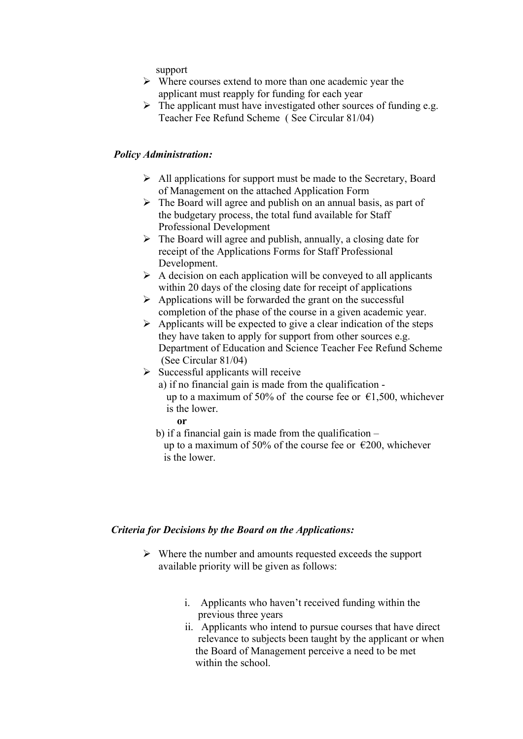support

- $\triangleright$  Where courses extend to more than one academic year the applicant must reapply for funding for each year
- $\triangleright$  The applicant must have investigated other sources of funding e.g. Teacher Fee Refund Scheme ( See Circular 81/04)

#### *Policy Administration:*

- $\triangleright$  All applications for support must be made to the Secretary, Board of Management on the attached Application Form
- $\triangleright$  The Board will agree and publish on an annual basis, as part of the budgetary process, the total fund available for Staff Professional Development
- $\triangleright$  The Board will agree and publish, annually, a closing date for receipt of the Applications Forms for Staff Professional Development.
- $\triangleright$  A decision on each application will be conveyed to all applicants within 20 days of the closing date for receipt of applications
- $\triangleright$  Applications will be forwarded the grant on the successful completion of the phase of the course in a given academic year.
- $\triangleright$  Applicants will be expected to give a clear indication of the steps they have taken to apply for support from other sources e.g. Department of Education and Science Teacher Fee Refund Scheme (See Circular 81/04)
- $\triangleright$  Successful applicants will receive
	- a) if no financial gain is made from the qualification up to a maximum of 50% of the course fee or  $\epsilon$ 1,500, whichever is the lower.
		- **or**
	- b) if a financial gain is made from the qualification  $$ up to a maximum of 50% of the course fee or  $\epsilon$ 200, whichever is the lower.

#### *Criteria for Decisions by the Board on the Applications:*

- $\triangleright$  Where the number and amounts requested exceeds the support available priority will be given as follows:
	- i. Applicants who haven't received funding within the previous three years
	- ii. Applicants who intend to pursue courses that have direct relevance to subjects been taught by the applicant or when the Board of Management perceive a need to be met within the school.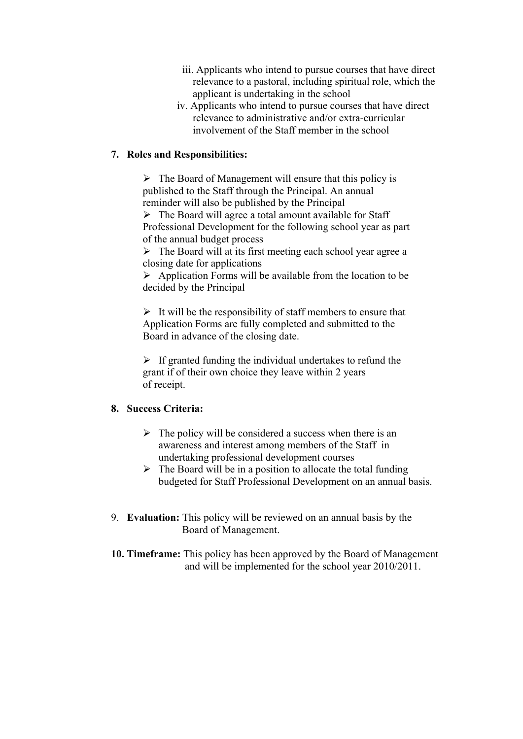- iii. Applicants who intend to pursue courses that have direct relevance to a pastoral, including spiritual role, which the applicant is undertaking in the school
- iv. Applicants who intend to pursue courses that have direct relevance to administrative and/or extra-curricular involvement of the Staff member in the school

#### **7. Roles and Responsibilities:**

 $\triangleright$  The Board of Management will ensure that this policy is published to the Staff through the Principal. An annual reminder will also be published by the Principal

 $\triangleright$  The Board will agree a total amount available for Staff Professional Development for the following school year as part of the annual budget process

 $\triangleright$  The Board will at its first meeting each school year agree a closing date for applications

 $\triangleright$  Application Forms will be available from the location to be decided by the Principal

 $\triangleright$  It will be the responsibility of staff members to ensure that Application Forms are fully completed and submitted to the Board in advance of the closing date.

 $\triangleright$  If granted funding the individual undertakes to refund the grant if of their own choice they leave within 2 years of receipt.

## **8. Success Criteria:**

- $\triangleright$  The policy will be considered a success when there is an awareness and interest among members of the Staff in undertaking professional development courses
- $\triangleright$  The Board will be in a position to allocate the total funding budgeted for Staff Professional Development on an annual basis.
- 9. **Evaluation:** This policy will be reviewed on an annual basis by the Board of Management.
- **10. Timeframe:** This policy has been approved by the Board of Management and will be implemented for the school year 2010/2011.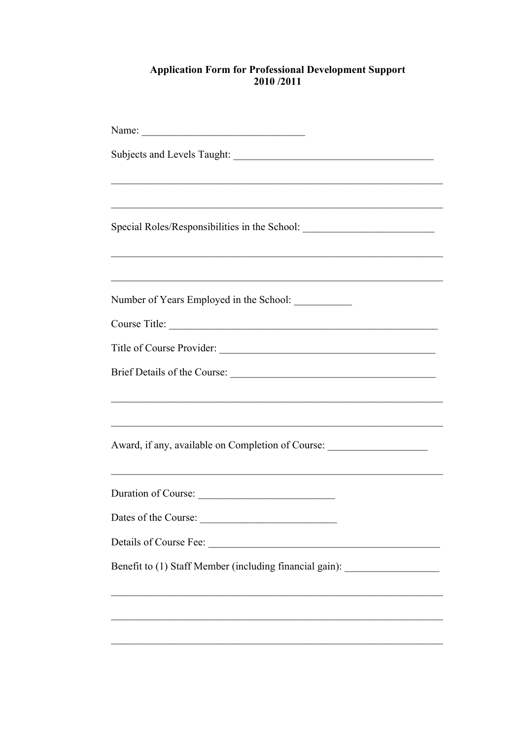# **Application Form for Professional Development Support**<br>2010/2011

| ,我们也不能在这里的时候,我们也不能在这里的时候,我们也不能在这里的时候,我们也不能会在这里的时候,我们也不能会在这里的时候,我们也不能会在这里的时候,我们也不 |  |  |  |
|----------------------------------------------------------------------------------|--|--|--|
| Special Roles/Responsibilities in the School: __________________________________ |  |  |  |
|                                                                                  |  |  |  |
| Number of Years Employed in the School: ___________                              |  |  |  |
|                                                                                  |  |  |  |
|                                                                                  |  |  |  |
|                                                                                  |  |  |  |
|                                                                                  |  |  |  |
| ,我们也不能在这里的时候,我们也不能在这里的时候,我们也不能在这里的时候,我们也不能会在这里的时候,我们也不能会在这里的时候,我们也不能会在这里的时候,我们也不 |  |  |  |
| <u> 1989 - Johann John Stone, Amerikaansk politiker (d. 1989)</u>                |  |  |  |
| Award, if any, available on Completion of Course: ______________________________ |  |  |  |
|                                                                                  |  |  |  |
| Duration of Course:                                                              |  |  |  |
| Dates of the Course:<br><u> 1989 - Johann Barbara, martxa a</u>                  |  |  |  |
|                                                                                  |  |  |  |
| Benefit to (1) Staff Member (including financial gain): ________________________ |  |  |  |
|                                                                                  |  |  |  |
|                                                                                  |  |  |  |
|                                                                                  |  |  |  |